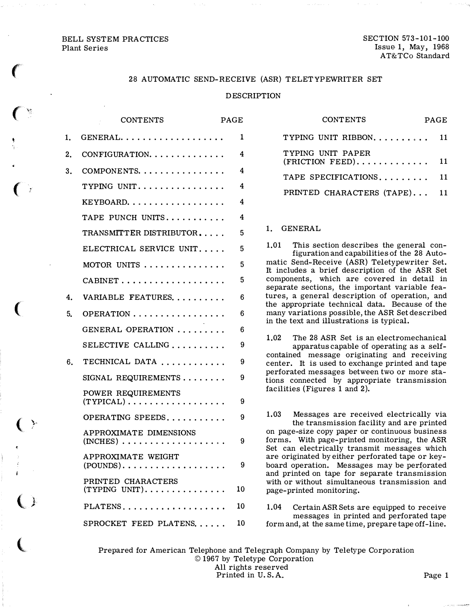## **BELL SYSTEM PRACTICES** Plant Series

**SECTION 573-101-100** Issue 1, May, 1968 AT&TCo Standard

# 28 AUTOMATIC SEND-RECEIVE (ASR) TELETYPEWRITER SET

### **DESCRIPTION**

|    | <b>CONTENTS</b>                                                                | <b>PAGE</b> |
|----|--------------------------------------------------------------------------------|-------------|
| 1. | $GENERAL.$                                                                     | 1           |
| 2. | CONFIGURATION.                                                                 | 4           |
| 3. | COMPONENTS.                                                                    | 4           |
|    | TYPING UNIT.                                                                   | 4           |
|    | KEYBOARD.                                                                      | 4           |
|    | TAPE PUNCH UNITS                                                               | 4           |
|    | TRANSMITTER DISTRIBUTOR                                                        | 5           |
|    | ELECTRICAL SERVICE UNIT                                                        | 5           |
|    | MOTOR UNITS                                                                    | 5           |
|    |                                                                                | 5           |
| 4. | VARIABLE FEATURES                                                              | 6           |
| 5. | OPERATION                                                                      | 6           |
|    | GENERAL OPERATION                                                              | 6           |
|    | SELECTIVE CALLING                                                              | 9           |
| 6. | TECHNICAL DATA                                                                 | 9           |
|    | SIGNAL REQUIREMENTS                                                            | 9           |
|    | POWER REQUIREMENTS<br>$(TYPICAL) \ldots \ldots \ldots \ldots \ldots$           | 9           |
|    | OPERATING SPEEDS                                                               | 9           |
|    | APPROXIMATE DIMENSIONS<br>$(INCHES) \ldots \ldots \ldots \ldots \ldots \ldots$ | 9           |
|    | APPROXIMATE WEIGHT                                                             | 9           |
|    | PRINTED CHARACTERS<br>$(TYPING UNIT)$                                          | 10          |
|    | PLATENS                                                                        | 10          |
|    | SPROCKET FEED PLATENS                                                          | 10          |

| <b>CONTENTS</b>                                                    |  |    |  |  |  |  |
|--------------------------------------------------------------------|--|----|--|--|--|--|
| TYPING UNIT RIBBON                                                 |  | 11 |  |  |  |  |
| TYPING UNIT PAPER<br>$(FRICTION FEED) \ldots \ldots \ldots \ldots$ |  | 11 |  |  |  |  |
| TAPE SPECIFICATIONS                                                |  | 11 |  |  |  |  |
| PRINTED CHARACTERS (TAPE) 11                                       |  |    |  |  |  |  |
|                                                                    |  |    |  |  |  |  |

### 1. GENERAL

 $1.01$ This section describes the general configuration and capabilities of the 28 Automatic Send-Receive (ASR) Teletypewriter Set. It includes a brief description of the ASR Set components, which are covered in detail in separate sections, the important variable features, a general description of operation, and the appropriate technical data. Because of the many variations possible, the ASR Set described in the text and illustrations is typical.

1.02 The 28 ASR Set is an electromechanical apparatus capable of operating as a selfcontained message originating and receiving center. It is used to exchange printed and tape perforated messages between two or more stations connected by appropriate transmission facilities (Figures 1 and 2).

1.03 Messages are received electrically via the transmission facility and are printed on page-size copy paper or continuous business forms. With page-printed monitoring, the ASR Set can electrically transmit messages which are originated by either perforated tape or keyboard operation. Messages may be perforated and printed on tape for separate transmission with or without simultaneous transmission and page-printed monitoring.

1.04 Certain ASR Sets are equipped to receive messages in printed and perforated tape form and, at the same time, prepare tape off-line.

Prepared for American Telephone and Telegraph Company by Teletype Corporation © 1967 by Teletype Corporation All rights reserved Printed in U.S.A.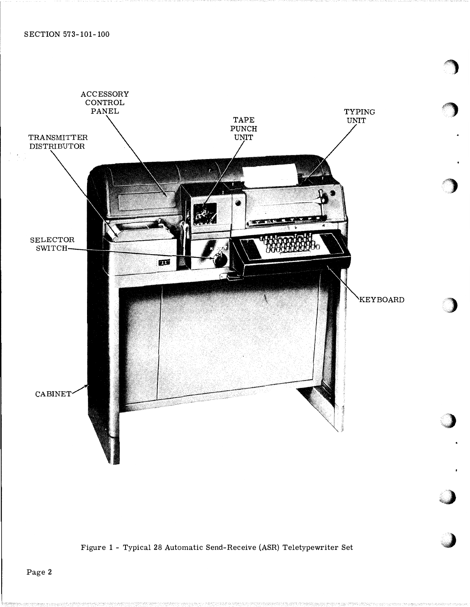

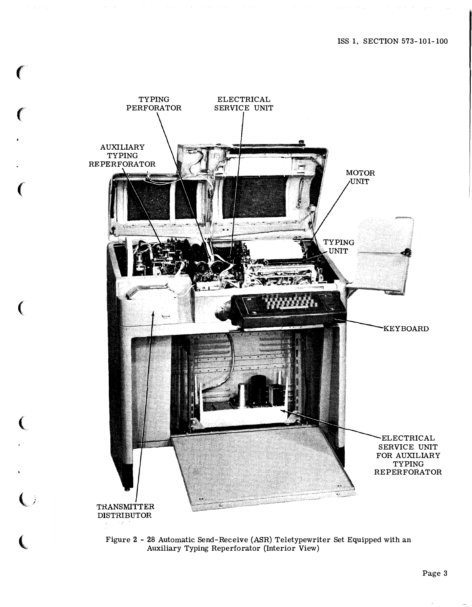



 $\binom{1}{2}$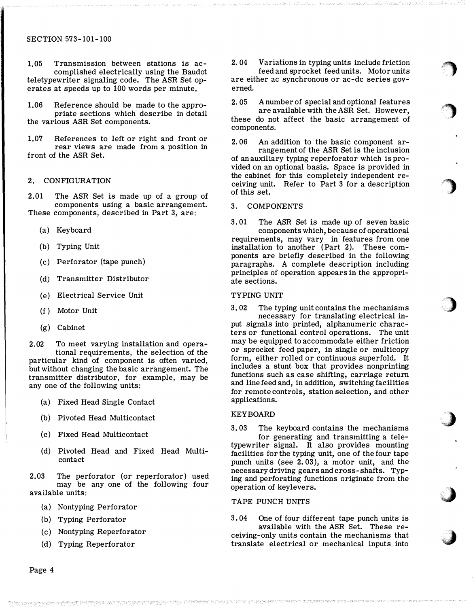### SECTION 573-101-100

1,05 Transmission between stations is accomplished electrically using the Baudot teletypewriter signaling code. The ASR Set operates at speeds up to 100 words per minute.

1.06 Reference should be made to the appropriate sections which describe in detail the various ASR Set components.

1.07 References to left or right and front or rear views are made from a position in front of the ASR Set.

# 2. CONFIGURATION

2.01 The ASR Set is made up of a group of components using a basic arrangement. These components, described in Part 3, are:

- (a) Keyboard
- (b) Typing Unit
- (c) Perforator (tape punch)
- (d) Transmitter Distributor
- (e) Electrical Service Unit
- (f ) Motor Unit
- (g) Cabinet

2.02 To meet varying installation and operational requirements, the selection of the particular kind of component is often varied, but without changing the basic arrangement. The transmitter distributor, for example, may be any one of the following units:

- (a) Fixed Head Single Contact
- (b) Pivoted Head Multicontact
- (c) Fixed Head Multicontact
- (d) Pivoted Head and Fixed Head Multicontact

2.03 The perforator (or reperforator) used may be any one of the following four available units:

- (a) Nontyping Perforator
- (b) Typing Perforator
- (c) Nontyping Reperforator
- (d) Typing Reperforator

2. 04 Variations in typing units include friction feed and sprocket feed units. Motor units

 $\bigcirc$ 

 $\bigcirc$ 

 $\bigcup$ 

�)

;,\_}

.J

**J** 

are either ac synchronous or ac-dc series governed.

2. 05 A number of special and optional features are available with the ASR Set. However, these do not affect the basic arrangement of components.

2. 06 An addition to the basic component arrangement of the ASR Set is the inclusion of an auxiliary typing reperforator which is provided on an optional basis. Space is provided in the cabinet for this completely independent receiving unit. Refer to Part 3 for a description of this set.

# 3. COMPONENTS

3. 01 The ASR Set is made up of seven basic components which, because of operational requirements, may vary in features from one installation to another (Part 2). These components are briefly described in the following paragraphs. A complete description including principles of operation appears in the appropriate sections.

#### TYPING UNIT

3. 02 The typing unit contains the mechanisms necessary for translating electrical input signals into printed, alphanumeric characters or functional control operations. The unit may be equipped to accommodate either friction or sprocket feed paper, in single or multicopy form, either rolled or continuous superfold. It includes a stunt box that provides nonprinting functions such as case shifting, carriage return and line feed and, in addition, switching facilities for remote controls, station selection, and other applications.

## KEYBOARD

3. 03 The keyboard contains the mechanisms

for generating and transmitting a teletypewriter signal. It also provides mounting facilities for the typing unit, one of the four tape punch units (see 2. 03), a motor unit, and the necessary driving gears and cross-shafts. Typing and perforating functions originate from the operation of keylevers.

## TAPE PUNCH UNITS

3. 04 One of four different tape punch units is available with the ASR Set. These receiving-only units contain the mechanisms that translate electrical or mechanical inputs into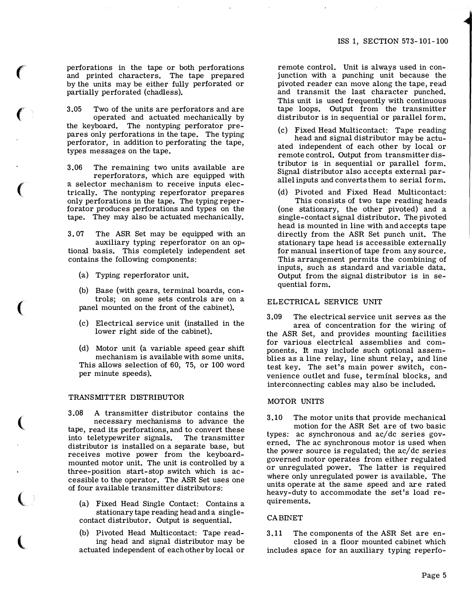perforations in the tape or both perforations and printed characters. The tape prepared by the units may be either fully perforated or partially perforated (chadless).

 $\epsilon$ 

 $\big($ 

 $\left($ 

(

 $\big($ 

 $\overline{\mathbb{C}}$ 

 $\big($ 

3.05 Two of the nnits are perforators and are operated and actuated mechanically by the keyboard. The nontyping perforator prepares only perforations in the tape. The typing perforator, in addition to perforating the tape, types messages on the tape.

3.06 The remaining two units available are reperforators, which are equipped with a selector mechanism to receive inputs electrically. The nontyping reperforator prepares only perforations in the tape, The typing reperforator produces perforations and types on the tape. They may also be actuated mechanically.

3. 07 The ASR Set may be equipped with an auxiliary typing reperforator on an optional basis. This completely independent set contains the following components:

- (a) Typing reperforator unit.
- (b) Base (with gears, terminal boards, controls; on some sets controls are on a panel mounted on the front of the cabinet).
- (c) Electrical service nnit (installed in the lower right side of the cabinet).
- (d) Motor nnit (a variable speed gear shift mechanism is available with some units. This allows selection of 60, 75, or 100 word per minute speeds).

#### TRANSMITTER DISTRIBUTOR

3.08 A transmitter distributor contains the necessary mechanisms to advance the tape, read its perforations, and to convert these into teletypewriter signals. The transmitter distributor is installed on a separate base, but receives motive power from the keyboardmounted motor unit. The unit is controlled by a three-position start-stop switch which is accessible to the operator. The ASR Set uses one of four available transmitter distributors:

(a) Fixed Head Single Contact: Contains a stationary tape reading head and a singlecontact distributor. Output is sequential.

(b) Pivoted Head Multicontact: Tape reading head and signal distributor may be actuated independent of each other by local or remote control. Unit is always used in conjunction with a punching unit because the pivoted reader can move along the tape, read and transmit the last character punched. This unit is used frequently with continuous tape loops. Output from the transmitter distributor is in sequential or parallel form.

- Fixed Head Multicontact: Tape reading head and signal distributor may be actuated independent of each other by local or remote control. Output from transmitter distributor is in sequential or parallel form. Signal distributor also accepts external parallel inputs and converts them to serial form.
- (d) Pivoted and Fixed Head Multicontact: This consists of two tape reading heads (one stationary, the other pivoted) and a single-contact signal distributor. The pivoted head is mounted in line with and accepts tape directly from the ASR Set punch unit. The stationary tape head is accessible externally for manual insertion of tape from any source. This arrangement permits the combining of inputs, such as standard aml variable data. Output from the signal distributor is in sequential form.

# ELECTRICAL SERVICE UNIT

3.09 The electrical service unit serves as the area of concentration for the wiring of the ASR Set, and provides monnting facilities for various electrical assemblies and components. It may include such optional assemblies as a line relay, line shunt relay, and line test key. The set's main power switch, convenience outlet and fuse, terminal blocks, and interconnecting cables may also be included.

### MOTOR UNITS

3.10 The motor units that provide mechanical motion for the ASR Set are of two basic types: ac synchronous and ac/dc series governed. The ac synchronous motor is used when the power source is regulated; the ac/ de series governed motor operates from either regulated or unregulated power. The latter is required where only unregulated power is available. The units operate at the same speed and are rated heavy-duty to accommodate the set's load requirements.

#### **CABINET**

3.11 The components of the ASR Set are enclosed in a floor mounted cabinet which includes space for an auxiliary typing reperfo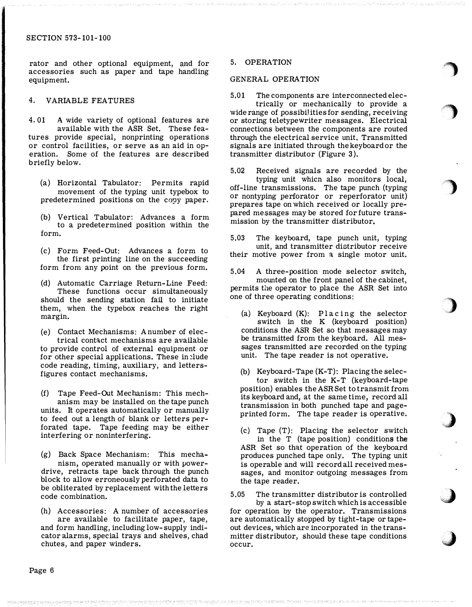rator and other optional equipment, and for accessories such as paper and tape handling equipment.

## 4. VARIABLE FEATURES

4. 01 A wide variety of optional features are available with the ASR Set. These features provide special, nonprinting operations or control facilities, or serve as an aid in operation. Some of the features are described briefly below.

- (a) Horizontal Tabulator: Permits rapid movement of the typing unit typebox to predetermined positions on the copy paper.
- (b) Vertical Tabulator: Advances a form to a predetermined position within the form.

(c) Form Feed-Out: Advances a form to the first printing line on the succeeding form from any point on the previous form.

- (d) Automatic Carriage Return-Line Feed: These functions occur simultaneously should the sending station fail to initiate them, when the typebox reaches the right margin.
- (e) Contact Mechanisms: A number of electrical contact mechanisms are available to provide control of external equipment or for other special applications. These in clude code reading, timing, auxiliary, and lettersfigures contact mechanisms.

(f) Tape Feed-Out Mechanism: This mechanism may be installed on the tape punch units. It operates automatically or manually to feed out a length of blank or letters perforated tape. Tape feeding may be either interfering or noninterfering.

(g) Back Space Mechanism: This mechanism, operated manually or with powerdrive, retracts tape back through the punch block to allow erroneously perforated data to be obliterated by replacement with the letters code combination.

(h) Accessories: A number of accessories are available to facilitate paper, tape, and form handling, including low-supply indicator alarms, special trays and shelves, chad chutes, and paper winders.

### 5. OPERATION

### GENERAL OPERATION

5.01 The components are interconnected electrically or mechanically to provide a wide range of possibilities for sending, receiving or storing teletypewriter messages. Electrical connections between the components are routed through the electrical service unit, Transmitted signals are initiated through the keyboard or the transmitter distributor (Figure 3 ).

 $\bigcirc$ 

 $\bigcirc$ 

)

)

)

J

 $\rightarrow$ 

5.02 Received signals are recorded by the typing unit which also monitors local, off-line transmissions. The tape punch (typing or nontyping perforator or reperforator unit) prepares tape on which received or locally prepared messages may be stored for future transmission by the transmitter distributor.

5,03 The keyboard, tape punch unit, typing unit, and transmitter distributor receive their motive power from a single motor unit.

5.04 A three-position mode selector switch, mounted on the front panel of the cabinet, permits the operator to place the ASR Set into one of three operating conditions:

(a) Keyboard (K): Placing the selector switch in the K (keyboard position) conditions the ASR Set so that messages may be transmitted from the keyboard. All messages transmitted are recorded on the typing unit. The tape reader is not operative.

(b) Keyboard-Tape (K-T): Placing the selector switch in the K-T (keyboard-tape position) enables the ASR Set to transmit from its keyboard and, at the same time, record all transmission in both punched tape and pageprinted form. The tape reader is operative.

(c) Tape (T): Placing the selector switch in the T (tape position) conditions the ASR Set so that operation of the keyboard produces punched tape only. The typing unit is operable and will record all received messages, and monitor outgoing messages from the tape reader.

5,05 The transmitter distributor is controlled by a start-stop switch which is accessible for operation by the operator. Transmissions are automatically stopped by tight-tape or tapeout devices, which are incorporated in the transmitter distributor, should these tape conditions occur.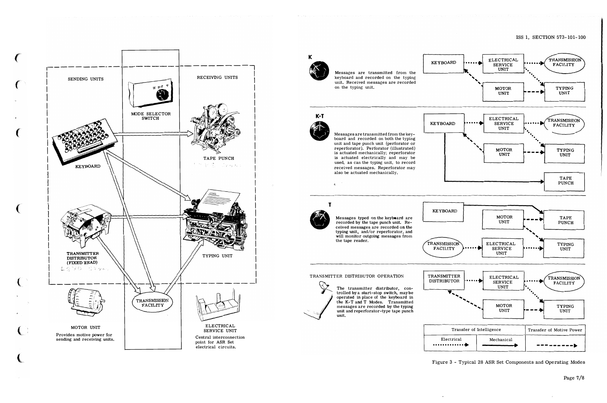



Figure 3 - Typical 28 ASR Set Components and Operating Modes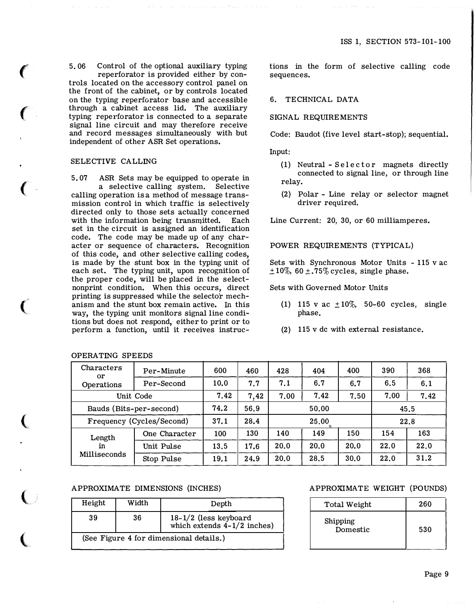5. 06 Control of the optional auxiliary typing reperforator is provided either by controls located on the accessory control panel on the front of the cabinet, or by controls located on the typing reperforator base and accessible through a cabinet access lid. The auxiliary typing reperforator is connected to a separate signal line circuit and may therefore receive and record messages simultaneously with but independent of other ASR Set operations.

### SELECTIVE CALLING

 $\epsilon$ 

 $\epsilon$ 

 $\big($ 

 $\big($ 

 $\big($ 

 $\big($ 

 $\overline{\mathbb{C}}$ 

5. 07 ASR Sets may be equipped to operate in a selective calling system. Selective calling operation is a method of message transmission control in which traffic is selectively directed only to those sets actually concerned with the information being transmitted. Each set in the circuit is assigned an identification code. The code may be made up of any character or sequence of characters. Recognition of this code, and other selective calling codes, is made by the stunt box in the typing unit of each set. The typing unit, upon recognition of the proper code, will be placed in the selectnonprint condition. When this occurs, direct printing is suppressed while the selector mechanism and the stunt box remain active. In this way, the typing unit monitors signal line conditions but does not respond, either to print or to perform a function, until it receives instruc-

# OPERATING SPEEDS

tions in the form of selective calling code sequences.

# 6. TECHNICAL DATA

## SIGNAL REQUIREMENTS

Code: Baudot (five level start-stop); sequential.

Input:

- $(1)$  Neutral Selector magnets directly connected to signal line, or through line relay.
- (2) Polar Line relay or selector magnet driver required.

Line Current: 20, 30, or 60 milliamperes.

### POWER REQUIREMENTS (TYPICAL)

Sets with Synchronous Motor Units - 115 v ac  $\pm 10\%$ , 60  $\pm$ .75% cycles, single phase.

Sets with Governed Motor Units

- (1) 115 v ac  $\pm 10\%$ , 50-60 cycles, single phase.
- (2) 115 v de with external resistance.

| Characters<br><sub>or</sub> | Per-Minute                |      | 460  | 428  | 404   | 400  | 390  | 368  |  |
|-----------------------------|---------------------------|------|------|------|-------|------|------|------|--|
| Operations                  | 10.0                      | 7.7  | 7.1  | 6.7  | 6,7   | 6.5  | 6.1  |      |  |
|                             | Unit Code                 |      |      | 7.00 | 7.42  | 7.50 | 7.00 | 7.42 |  |
| Bauds (Bits-per-second)     |                           | 74.2 | 56.9 |      | 50.00 | 45.5 |      |      |  |
|                             | Frequency (Cycles/Second) |      |      |      | 25.00 | 22.8 |      |      |  |
| Length                      | One Character             | 100  | 130  | 140  | 149   | 150  | 154  | 163  |  |
| in<br>Milliseconds          | Unit Pulse                | 13.5 | 17.6 | 20.0 | 20.0  | 20.0 | 22.0 | 22.0 |  |
|                             | Stop Pulse                | 19.1 | 24.9 | 20.0 | 28.5  | 30.0 | 22.0 | 31.2 |  |

## APPROXIMATE DIMENSIONS (INCHES)

| Height                                  | Width | Depth                                                    |  |  |  |  |  |  |  |
|-----------------------------------------|-------|----------------------------------------------------------|--|--|--|--|--|--|--|
| 39                                      | 36    | $18-1/2$ (less keyboard<br>which extends $4-1/2$ inches) |  |  |  |  |  |  |  |
| (See Figure 4 for dimensional details.) |       |                                                          |  |  |  |  |  |  |  |

## APPROXIMATE WEIGHT (POUNDS)

| Total Weight         | 260 |
|----------------------|-----|
| Shipping<br>Domestic | 530 |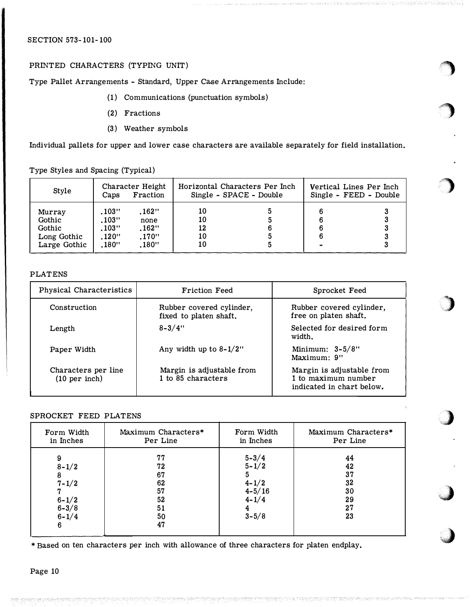# SECTION 573-101-100

# PRINTED CHARACTERS (TYPING UNIT)

Type Pallet Arrangements - Standard, Upper Case Arrangements Include:

- (1) Communications (punctuation symbols)
- (2) Fractions
- (3) Weather symbols

Individual pallets for upper and lower case characters are available separately for field installation.

''')

 $\sim$  $\cdot$   $\cdot$ 

)

)

)

.J

:j

Type Styles and Spacing (Typical)

| Style                                                     | Caps                                       | Character Height<br>Fraction             |                            | Horizontal Characters Per Inch<br>Single - SPACE - Double | Vertical Lines Per Inch<br>Single - FEED - Double |  |  |  |  |  |
|-----------------------------------------------------------|--------------------------------------------|------------------------------------------|----------------------------|-----------------------------------------------------------|---------------------------------------------------|--|--|--|--|--|
| Murray<br>Gothic<br>Gothic<br>Long Gothic<br>Large Gothic | .103''<br>.103"<br>.103"<br>.120"<br>.180" | .162"<br>none<br>.162"<br>.170"<br>.180" | 10<br>10<br>12<br>10<br>10 |                                                           |                                                   |  |  |  |  |  |

# PLATENS

| Physical Characteristics             | <b>Friction Feed</b>                               | Sprocket Feed                                                                 |  |  |  |  |  |
|--------------------------------------|----------------------------------------------------|-------------------------------------------------------------------------------|--|--|--|--|--|
| Construction                         | Rubber covered cylinder,<br>fixed to platen shaft. | Rubber covered cylinder,<br>free on platen shaft.                             |  |  |  |  |  |
| Length                               | $8 - 3/4"$                                         | Selected for desired form<br>width.                                           |  |  |  |  |  |
| Paper Width                          | Any width up to $8-1/2$ "                          | Minimum: $3-5/8$ "<br>Maximum: 9"                                             |  |  |  |  |  |
| Characters per line<br>(10 per inch) | Margin is adjustable from<br>1 to 85 characters    | Margin is adjustable from<br>1 to maximum number<br>indicated in chart below. |  |  |  |  |  |

# SPROCKET FEED PLATENS

| Form Width                                                                  | Maximum Characters*                                | Form Width                                                                       | Maximum Characters*                          |
|-----------------------------------------------------------------------------|----------------------------------------------------|----------------------------------------------------------------------------------|----------------------------------------------|
| in Inches                                                                   | Per Line                                           | in Inches                                                                        | Per Line                                     |
| 9<br>$8 - 1/2$<br>8<br>$7 - 1/2$<br>$\frac{6-1/2}{6-3/8}$<br>$6 - 1/4$<br>6 | 77<br>72<br>67<br>62<br>57<br>52<br>51<br>50<br>47 | $5 - 3/4$<br>$5 - 1/2$<br>5<br>$4 - 1/2$<br>$4 - 5/16$<br>$4 - 1/4$<br>$3 - 5/8$ | 44<br>42<br>37<br>32<br>30<br>29<br>27<br>23 |

\*Based on ten characters per inch with allowance of three characters for platen endplay.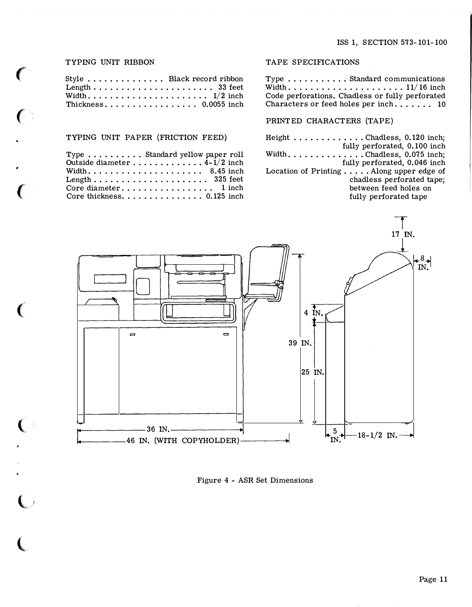## TYPING UNIT RIBBON

 $\left($ 

 $\left($ 

 $\mathbf C$ 

 $\mathbf{C}$ 

(

l

(,

| Style  Black record ribbon |  |  |  |  |  |  |  |  |  |  |  |  |  |
|----------------------------|--|--|--|--|--|--|--|--|--|--|--|--|--|
|                            |  |  |  |  |  |  |  |  |  |  |  |  |  |
|                            |  |  |  |  |  |  |  |  |  |  |  |  |  |
| Thickness 0.0055 inch      |  |  |  |  |  |  |  |  |  |  |  |  |  |

## TYPING UNIT PAPER (FRICTION FEED)

| Type $\ldots \ldots \ldots$ Standard yellow paper roll      |
|-------------------------------------------------------------|
| Outside diameter $4-1/2$ inch                               |
| Width 8.45 inch                                             |
|                                                             |
|                                                             |
| Core thickness. $\ldots$ . $\ldots$ . $\ldots$ . 0.125 inch |

# TAPE SPECIFICATIONS

Type ........... Standard communications Width ......•.............. 11/16 inch Code perforations. Chadless or fully perforated Characters or feed holes per inch. . . . . . . 10

# PRINTED CHARACTERS (TAPE)

Height ............Chadless, 0.120 inch; fully perforated, 0.100 inch Width .............. Chadless, 0.075 inch; fully perforated, 0.046 inch Location of Printing ..... Along upper edge of chadless perforated tape; between feed holes on fully perforated tape



Figure <sup>4</sup>- ASR Set Dimensions